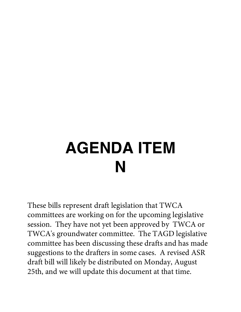# **AGENDA ITEM N**

These bills represent draft legislation that TWCA committees are working on for the upcoming legislative session. They have not yet been approved by TWCA or TWCA's groundwater committee. The TAGD legislative committee has been discussing these drafts and has made suggestions to the drafters in some cases. A revised ASR draft bill will likely be distributed on Monday, August 25th, and we will update this document at that time.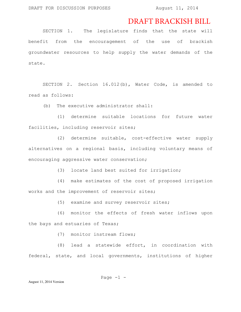## DRAFT BRACKISH BILL

SECTION 1. The legislature finds that the state will benefit from the encouragement of the use of brackish groundwater resources to help supply the water demands of the state.

SECTION 2. Section 16.012(b), Water Code, is amended to read as follows:

(b) The executive administrator shall:

(1) determine suitable locations for future water facilities, including reservoir sites;

(2) determine suitable, cost-effective water supply alternatives on a regional basis, including voluntary means of encouraging aggressive water conservation;

(3) locate land best suited for irrigation;

(4) make estimates of the cost of proposed irrigation works and the improvement of reservoir sites;

(5) examine and survey reservoir sites;

(6) monitor the effects of fresh water inflows upon the bays and estuaries of Texas;

(7) monitor instream flows;

(8) lead a statewide effort, in coordination with federal, state, and local governments, institutions of higher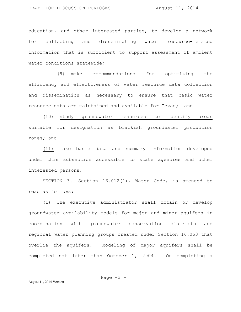education, and other interested parties, to develop a network for collecting and disseminating water resource-related information that is sufficient to support assessment of ambient water conditions statewide;

(9) make recommendations for optimizing the efficiency and effectiveness of water resource data collection and dissemination as necessary to ensure that basic water resource data are maintained and available for Texas; and

(10) study groundwater resources to identify areas suitable for designation as brackish groundwater production zones; and

(11) make basic data and summary information developed under this subsection accessible to state agencies and other interested persons.

SECTION 3. Section 16.012(l), Water Code, is amended to read as follows:

(l) The executive administrator shall obtain or develop groundwater availability models for major and minor aquifers in coordination with groundwater conservation districts and regional water planning groups created under Section 16.053 that overlie the aquifers. Modeling of major aquifers shall be completed not later than October 1, 2004. On completing a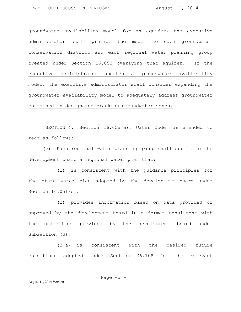groundwater availability model for an aquifer, the executive administrator shall provide the model to each groundwater conservation district and each regional water planning group created under Section 16.053 overlying that aquifer. If the executive administrator updates a groundwater availability model, the executive administrator shall consider expanding the groundwater availability model to adequately address groundwater contained in designated brackish groundwater zones.

SECTION 4. Section 16.053(e), Water Code, is amended to read as follows:

(e) Each regional water planning group shall submit to the development board a regional water plan that:

(1) is consistent with the guidance principles for the state water plan adopted by the development board under Section 16.051(d);

(2) provides information based on data provided or approved by the development board in a format consistent with the guidelines provided by the development board under Subsection (d);

(2-a) is consistent with the desired future conditions adopted under Section 36.108 for the relevant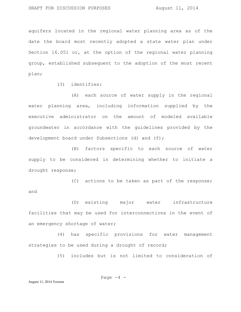aquifers located in the regional water planning area as of the date the board most recently adopted a state water plan under Section 16.051 or, at the option of the regional water planning group, established subsequent to the adoption of the most recent plan;

(3) identifies:

(A) each source of water supply in the regional water planning area, including information supplied by the executive administrator on the amount of modeled available groundwater in accordance with the guidelines provided by the development board under Subsections (d) and (f);

(B) factors specific to each source of water supply to be considered in determining whether to initiate a drought response;

(C) actions to be taken as part of the response; and

(D) existing major water infrastructure facilities that may be used for interconnections in the event of an emergency shortage of water;

(4) has specific provisions for water management strategies to be used during a drought of record;

(5) includes but is not limited to consideration of

Page 
$$
-4
$$
 -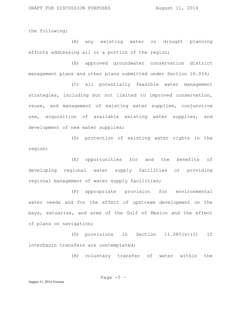the following:

(A) any existing water or drought planning efforts addressing all or a portion of the region;

(B) approved groundwater conservation district management plans and other plans submitted under Section 16.054;

(C) all potentially feasible water management strategies, including but not limited to improved conservation, reuse, and management of existing water supplies, conjunctive use, acquisition of available existing water supplies, and development of new water supplies;

(D) protection of existing water rights in the region;

(E) opportunities for and the benefits of developing regional water supply facilities or providing regional management of water supply facilities;

(F) appropriate provision for environmental water needs and for the effect of upstream development on the bays, estuaries, and arms of the Gulf of Mexico and the effect of plans on navigation;

(G) provisions in Section 11.085(k)(1) if interbasin transfers are contemplated;

(H) voluntary transfer of water within the

Page 
$$
-5
$$
 -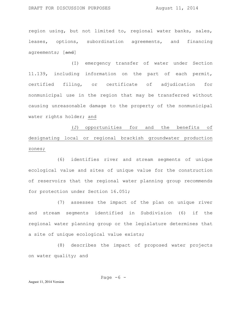region using, but not limited to, regional water banks, sales, leases, options, subordination agreements, and financing agreements; [and]

(I) emergency transfer of water under Section 11.139, including information on the part of each permit, certified filing, or certificate of adjudication for nonmunicipal use in the region that may be transferred without causing unreasonable damage to the property of the nonmunicipal water rights holder; and

(J) opportunities for and the benefits of designating local or regional brackish groundwater production zones;

(6) identifies river and stream segments of unique ecological value and sites of unique value for the construction of reservoirs that the regional water planning group recommends for protection under Section 16.051;

(7) assesses the impact of the plan on unique river and stream segments identified in Subdivision (6) if the regional water planning group or the legislature determines that a site of unique ecological value exists;

(8) describes the impact of proposed water projects on water quality; and

Page  $-6$  -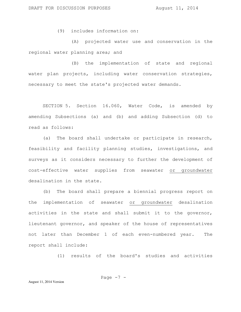(9) includes information on:

(A) projected water use and conservation in the regional water planning area; and

(B) the implementation of state and regional water plan projects, including water conservation strategies, necessary to meet the state's projected water demands.

SECTION 5. Section 16.060, Water Code, is amended by amending Subsections (a) and (b) and adding Subsection (d) to read as follows:

(a) The board shall undertake or participate in research, feasibility and facility planning studies, investigations, and surveys as it considers necessary to further the development of cost-effective water supplies from seawater or groundwater desalination in the state.

(b) The board shall prepare a biennial progress report on the implementation of seawater or groundwater desalination activities in the state and shall submit it to the governor, lieutenant governor, and speaker of the house of representatives not later than December 1 of each even-numbered year. The report shall include:

(1) results of the board's studies and activities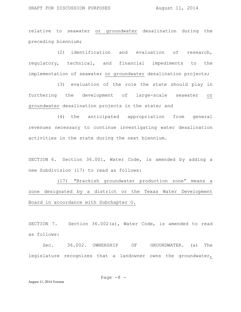relative to seawater or groundwater desalination during the preceding biennium;

(2) identification and evaluation of research, regulatory, technical, and financial impediments to the implementation of seawater or groundwater desalination projects;

(3) evaluation of the role the state should play in furthering the development of large-scale seawater or groundwater desalination projects in the state; and

(4) the anticipated appropriation from general revenues necessary to continue investigating water desalination activities in the state during the next biennium.

SECTION 6. Section 36.001, Water Code, is amended by adding a new Subdivision (17) to read as follows:

(17) "Brackish groundwater production zone" means a zone designated by a district or the Texas Water Development Board in accordance with Subchapter O.

SECTION 7. Section 36.002(a), Water Code, is amended to read as follows:

Sec. 36.002. OWNERSHIP OF GROUNDWATER. (a) The legislature recognizes that a landowner owns the groundwater,

Page  $-8$  -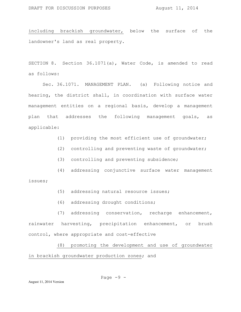including brackish groundwater, below the surface of the landowner's land as real property.

SECTION 8. Section 36.1071(a), Water Code, is amended to read as follows:

Sec. 36.1071. MANAGEMENT PLAN. (a) Following notice and hearing, the district shall, in coordination with surface water management entities on a regional basis, develop a management plan that addresses the following management goals, as applicable:

- (1) providing the most efficient use of groundwater;
- (2) controlling and preventing waste of groundwater;
- (3) controlling and preventing subsidence;
- (4) addressing conjunctive surface water management issues;
	- (5) addressing natural resource issues;
	- (6) addressing drought conditions;

(7) addressing conservation, recharge enhancement, rainwater harvesting, precipitation enhancement, or brush control, where appropriate and cost-effective

(8) promoting the development and use of groundwater in brackish groundwater production zones; and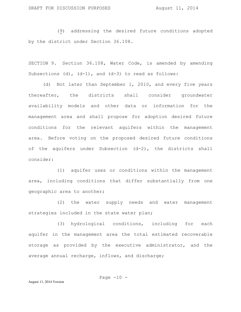(9) addressing the desired future conditions adopted by the district under Section 36.108.

SECTION 9. Section 36.108, Water Code, is amended by amending Subsections  $(d)$ ,  $(d-1)$ , and  $(d-3)$  to read as follows:

(d) Not later than September 1, 2010, and every five years thereafter, the districts shall consider groundwater availability models and other data or information for the management area and shall propose for adoption desired future conditions for the relevant aquifers within the management area. Before voting on the proposed desired future conditions of the aquifers under Subsection (d-2), the districts shall consider:

(1) aquifer uses or conditions within the management area, including conditions that differ substantially from one geographic area to another;

(2) the water supply needs and water management strategies included in the state water plan;

(3) hydrological conditions, including for each aquifer in the management area the total estimated recoverable storage as provided by the executive administrator, and the average annual recharge, inflows, and discharge;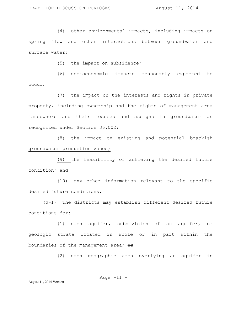(4) other environmental impacts, including impacts on spring flow and other interactions between groundwater and surface water;

(5) the impact on subsidence;

(6) socioeconomic impacts reasonably expected to occur;

(7) the impact on the interests and rights in private property, including ownership and the rights of management area landowners and their lessees and assigns in groundwater as recognized under Section 36.002;

(8) the impact on existing and potential brackish groundwater production zones;

(9) the feasibility of achieving the desired future condition; and

(10) any other information relevant to the specific desired future conditions.

(d-1) The districts may establish different desired future conditions for:

(1) each aquifer, subdivision of an aquifer, or geologic strata located in whole or in part within the boundaries of the management area;  $\Theta$ r

(2) each geographic area overlying an aquifer in

Page  $-11 -$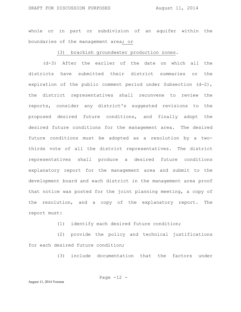whole or in part or subdivision of an aquifer within the boundaries of the management area; or

#### (3) brackish groundwater production zones.

(d-3) After the earlier of the date on which all the districts have submitted their district summaries or the expiration of the public comment period under Subsection (d-2), the district representatives shall reconvene to review the reports, consider any district's suggested revisions to the proposed desired future conditions, and finally adopt the desired future conditions for the management area. The desired future conditions must be adopted as a resolution by a twothirds vote of all the district representatives. The district representatives shall produce a desired future conditions explanatory report for the management area and submit to the development board and each district in the management area proof that notice was posted for the joint planning meeting, a copy of the resolution, and a copy of the explanatory report. The report must:

(1) identify each desired future condition;

(2) provide the policy and technical justifications for each desired future condition;

(3) include documentation that the factors under

Page 
$$
-12
$$
 -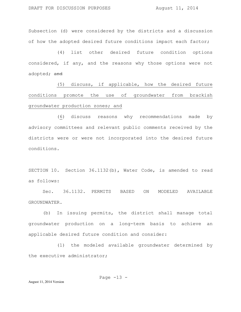Subsection (d) were considered by the districts and a discussion of how the adopted desired future conditions impact each factor;

(4) list other desired future condition options considered, if any, and the reasons why those options were not adopted; and

(5) discuss, if applicable, how the desired future conditions promote the use of groundwater from brackish groundwater production zones; and

(6) discuss reasons why recommendations made by advisory committees and relevant public comments received by the districts were or were not incorporated into the desired future conditions.

SECTION 10. Section 36.1132(b), Water Code, is amended to read as follows:

Sec. 36.1132. PERMITS BASED ON MODELED AVAILABLE GROUNDWATER.

(b) In issuing permits, the district shall manage total groundwater production on a long-term basis to achieve an applicable desired future condition and consider:

(1) the modeled available groundwater determined by the executive administrator;

Page  $-13 -$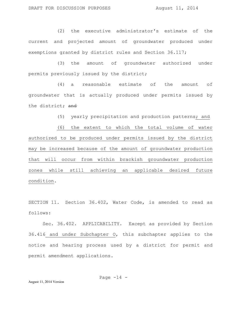(2) the executive administrator's estimate of the current and projected amount of groundwater produced under exemptions granted by district rules and Section 36.117;

(3) the amount of groundwater authorized under permits previously issued by the district;

(4) a reasonable estimate of the amount of groundwater that is actually produced under permits issued by the district; and

(5) yearly precipitation and production patterns; and

(6) the extent to which the total volume of water authorized to be produced under permits issued by the district may be increased because of the amount of groundwater production that will occur from within brackish groundwater production zones while still achieving an applicable desired future condition.

SECTION 11. Section 36.402, Water Code, is amended to read as follows:

Sec. 36.402. APPLICABILITY. Except as provided by Section 36.416 and under Subchapter O, this subchapter applies to the notice and hearing process used by a district for permit and permit amendment applications.

Page  $-14$  -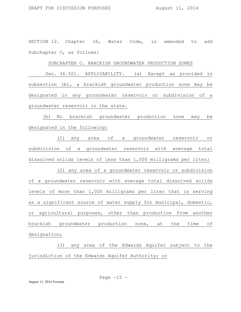SECTION 12. Chapter 36, Water Code, is amended to add Subchapter O, as follows:

### SUBCHAPTER O. BRACKISH GROUNDWATER PRODUCTION ZONES

Sec. 36.501. APPLICABILITY. (a) Except as provided in subsection (b), a brackish groundwater production zone may be designated in any groundwater reservoir or subdivision of a groundwater reservoir in the state.

(b) No brackish groundwater production zone may be designated in the following:

(1) any area of a groundwater reservoir or subdivision of a groundwater reservoir with average total dissolved solids levels of less than 1,000 milligrams per liter;

(2) any area of a groundwater reservoir or subdivision of a groundwater reservoir with average total dissolved solids levels of more than 1,000 milligrams per liter that is serving as a significant source of water supply for municipal, domestic, or agricultural purposes, other than production from another brackish groundwater production zone, at the time of designation;

(3) any area of the Edwards Aquifer subject to the jurisdiction of the Edwards Aquifer Authority; or

Page  $-15$  -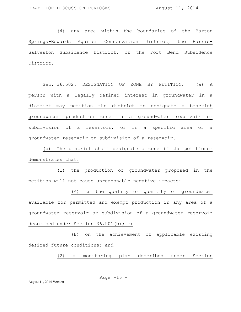(4) any area within the boundaries of the Barton Springs-Edwards Aquifer Conservation District, the Harris-Galveston Subsidence District, or the Fort Bend Subsidence District.

Sec. 36.502. DESIGNATION OF ZONE BY PETITION. (a) A person with a legally defined interest in groundwater in a district may petition the district to designate a brackish groundwater production zone in a groundwater reservoir or subdivision of a reservoir, or in a specific area of a groundwater reservoir or subdivision of a reservoir.

(b) The district shall designate a zone if the petitioner demonstrates that:

(1) the production of groundwater proposed in the petition will not cause unreasonable negative impacts:

(A) to the quality or quantity of groundwater available for permitted and exempt production in any area of a groundwater reservoir or subdivision of a groundwater reservoir described under Section 36.501(b); or

(B) on the achievement of applicable existing desired future conditions; and

(2) a monitoring plan described under Section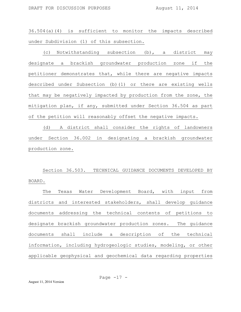36.504(a)(4) is sufficient to monitor the impacts described under Subdivision (1) of this subsection.

(c) Notwithstanding subsection (b), a district may designate a brackish groundwater production zone if the petitioner demonstrates that, while there are negative impacts described under Subsection (b)(1) or there are existing wells that may be negatively impacted by production from the zone, the mitigation plan, if any, submitted under Section 36.504 as part of the petition will reasonably offset the negative impacts.

(d) A district shall consider the rights of landowners under Section 36.002 in designating a brackish groundwater production zone.

Section 36.503. TECHNICAL GUIDANCE DOCUMENTS DEVELOPED BY BOARD.

The Texas Water Development Board, with input from districts and interested stakeholders, shall develop guidance documents addressing the technical contents of petitions to designate brackish groundwater production zones. The guidance documents shall include a description of the technical information, including hydrogeologic studies, modeling, or other applicable geophysical and geochemical data regarding properties

August 11, 2014 Version

Page  $-17 -$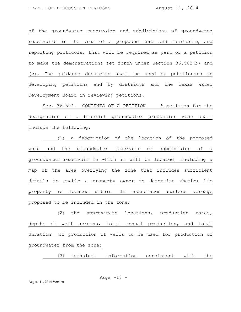of the groundwater reservoirs and subdivisions of groundwater reservoirs in the area of a proposed zone and monitoring and reporting protocols, that will be required as part of a petition to make the demonstrations set forth under Section 36.502(b) and (c). The guidance documents shall be used by petitioners in developing petitions and by districts and the Texas Water Development Board in reviewing petitions.

Sec. 36.504. CONTENTS OF A PETITION. A petition for the designation of a brackish groundwater production zone shall include the following:

(1) a description of the location of the proposed zone and the groundwater reservoir or subdivision of a groundwater reservoir in which it will be located, including a map of the area overlying the zone that includes sufficient details to enable a property owner to determine whether his property is located within the associated surface acreage proposed to be included in the zone;

(2) the approximate locations, production rates, depths of well screens, total annual production, and total duration of production of wells to be used for production of groundwater from the zone;

(3) technical information consistent with the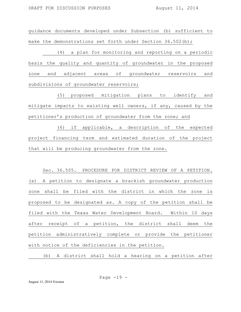guidance documents developed under Subsection (b) sufficient to make the demonstrations set forth under Section 36.502(b);

(4) a plan for monitoring and reporting on a periodic basis the quality and quantity of groundwater in the proposed zone and adjacent areas of groundwater reservoirs and subdivisions of groundwater reservoirs;

(5) proposed mitigation plans to identify and mitigate impacts to existing well owners, if any, caused by the petitioner's production of groundwater from the zone; and

(6) if applicable, a description of the expected project financing term and estimated duration of the project that will be producing groundwater from the zone.

Sec. 36.505. PROCEDURE FOR DISTRICT REVIEW OF A PETITION. (a) A petition to designate a brackish groundwater production zone shall be filed with the district in which the zone is proposed to be designated as. A copy of the petition shall be filed with the Texas Water Development Board. Within 10 days after receipt of a petition, the district shall deem the petition administratively complete or provide the petitioner with notice of the deficiencies in the petition.

(b) A district shall hold a hearing on a petition after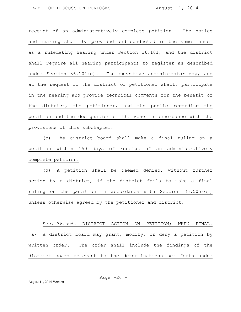receipt of an administratively complete petition. The notice and hearing shall be provided and conducted in the same manner as a rulemaking hearing under Section 36.101, and the district shall require all hearing participants to register as described under Section 36.101(g). The executive administrator may, and at the request of the district or petitioner shall, participate in the hearing and provide technical comments for the benefit of the district, the petitioner, and the public regarding the petition and the designation of the zone in accordance with the provisions of this subchapter.

(c) The district board shall make a final ruling on a petition within 150 days of receipt of an administratively complete petition.

(d) A petition shall be deemed denied, without further action by a district, if the district fails to make a final ruling on the petition in accordance with Section 36.505(c), unless otherwise agreed by the petitioner and district.

Sec. 36.506. DISTRICT ACTION ON PETITION; WHEN FINAL. (a) A district board may grant, modify, or deny a petition by written order. The order shall include the findings of the district board relevant to the determinations set forth under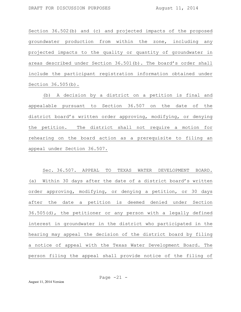Section 36.502(b) and (c) and projected impacts of the proposed groundwater production from within the zone, including any projected impacts to the quality or quantity of groundwater in areas described under Section 36.501(b). The board's order shall include the participant registration information obtained under Section 36.505(b).

(b) A decision by a district on a petition is final and appealable pursuant to Section 36.507 on the date of the district board's written order approving, modifying, or denying the petition. The district shall not require a motion for rehearing on the board action as a prerequisite to filing an appeal under Section 36.507.

Sec. 36.507. APPEAL TO TEXAS WATER DEVELOPMENT BOARD. (a) Within 30 days after the date of a district board's written order approving, modifying, or denying a petition, or 30 days after the date a petition is deemed denied under Section 36.505(d), the petitioner or any person with a legally defined interest in groundwater in the district who participated in the hearing may appeal the decision of the district board by filing a notice of appeal with the Texas Water Development Board. The person filing the appeal shall provide notice of the filing of

August 11, 2014 Version

Page  $-21 -$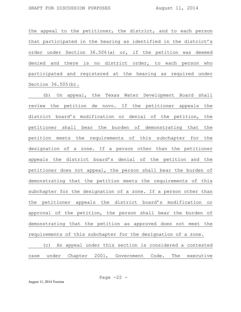the appeal to the petitioner, the district, and to each person that participated in the hearing as identified in the district's order under Section 36.506(a) or, if the petition was deemed denied and there is no district order, to each person who participated and registered at the hearing as required under Section 36.505(b).

(b) On appeal, the Texas Water Development Board shall review the petition de novo. If the petitioner appeals the district board's modification or denial of the petition, the petitioner shall bear the burden of demonstrating that the petition meets the requirements of this subchapter for the designation of a zone. If a person other than the petitioner appeals the district board's denial of the petition and the petitioner does not appeal, the person shall bear the burden of demonstrating that the petition meets the requirements of this subchapter for the designation of a zone. If a person other than the petitioner appeals the district board's modification or approval of the petition, the person shall bear the burden of demonstrating that the petition as approved does not meet the requirements of this subchapter for the designation of a zone. (c) An appeal under this section is considered a contested

case under Chapter 2001, Government Code. The executive

Page  $-22 -$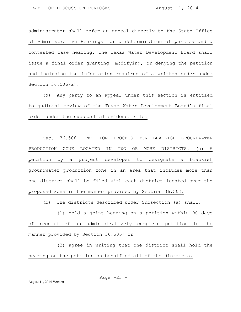administrator shall refer an appeal directly to the State Office of Administrative Hearings for a determination of parties and a contested case hearing. The Texas Water Development Board shall issue a final order granting, modifying, or denying the petition and including the information required of a written order under Section 36.506(a).

(d) Any party to an appeal under this section is entitled to judicial review of the Texas Water Development Board's final order under the substantial evidence rule.

Sec. 36.508. PETITION PROCESS FOR BRACKISH GROUNDWATER PRODUCTION ZONE LOCATED IN TWO OR MORE DISTRICTS. (a) A petition by a project developer to designate a brackish groundwater production zone in an area that includes more than one district shall be filed with each district located over the proposed zone in the manner provided by Section 36.502.

(b) The districts described under Subsection (a) shall:

(1) hold a joint hearing on a petition within 90 days of receipt of an administratively complete petition in the manner provided by Section 36.505; or

(2) agree in writing that one district shall hold the hearing on the petition on behalf of all of the districts.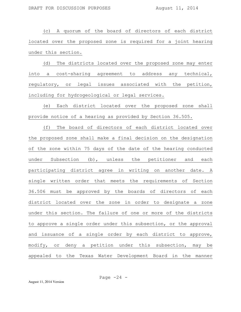(c) A quorum of the board of directors of each district located over the proposed zone is required for a joint hearing under this section.

(d) The districts located over the proposed zone may enter into a cost-sharing agreement to address any technical, regulatory, or legal issues associated with the petition, including for hydrogeological or legal services.

(e) Each district located over the proposed zone shall provide notice of a hearing as provided by Section 36.505.

(f) The board of directors of each district located over the proposed zone shall make a final decision on the designation of the zone within 75 days of the date of the hearing conducted under Subsection (b), unless the petitioner and each participating district agree in writing on another date. A single written order that meets the requirements of Section 36.506 must be approved by the boards of directors of each district located over the zone in order to designate a zone under this section. The failure of one or more of the districts to approve a single order under this subsection, or the approval and issuance of a single order by each district to approve, modify, or deny a petition under this subsection, may be appealed to the Texas Water Development Board in the manner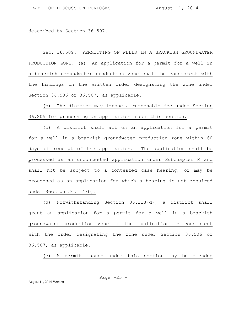described by Section 36.507.

Sec. 36.509. PERMITTING OF WELLS IN A BRACKISH GROUNDWATER PRODUCTION ZONE. (a) An application for a permit for a well in a brackish groundwater production zone shall be consistent with the findings in the written order designating the zone under Section 36.506 or 36.507, as applicable.

(b) The district may impose a reasonable fee under Section 36.205 for processing an application under this section.

(c) A district shall act on an application for a permit for a well in a brackish groundwater production zone within 60 days of receipt of the application. The application shall be processed as an uncontested application under Subchapter M and shall not be subject to a contested case hearing, or may be processed as an application for which a hearing is not required under Section 36.114(b).

(d) Notwithstanding Section 36.113(d), a district shall grant an application for a permit for a well in a brackish groundwater production zone if the application is consistent with the order designating the zone under Section 36.506 or 36.507, as applicable.

(e) A permit issued under this section may be amended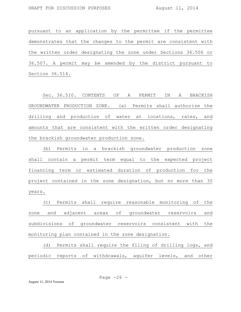pursuant to an application by the permittee if the permittee demonstrates that the changes to the permit are consistent with the written order designating the zone under Sections 36.506 or 36.507. A permit may be amended by the district pursuant to Section 36.514.

Sec. 36.510. CONTENTS OF A PERMIT IN A BRACKISH GROUNDWATER PRODUCTION ZONE. (a) Permits shall authorize the drilling and production of water at locations, rates, and amounts that are consistent with the written order designating the brackish groundwater production zone.

(b) Permits in a brackish groundwater production zone shall contain a permit term equal to the expected project financing term or estimated duration of production for the project contained in the zone designation, but no more than 30 years.

(c) Permits shall require reasonable monitoring of the zone and adjacent areas of groundwater reservoirs and subdivisions of groundwater reservoirs consistent with the monitoring plan contained in the zone designation.

(d) Permits shall require the filing of drilling logs, and periodic reports of withdrawals, aquifer levels, and other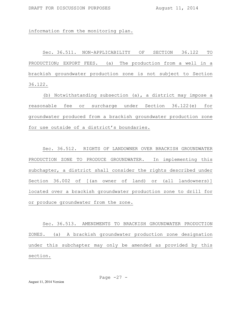information from the monitoring plan.

Sec. 36.511. NON-APPLICABILITY OF SECTION 36.122 TO PRODUCTION; EXPORT FEES. (a) The production from a well in a brackish groundwater production zone is not subject to Section 36.122.

(b) Notwithstanding subsection (a), a district may impose a reasonable fee or surcharge under Section 36.122(e) for groundwater produced from a brackish groundwater production zone for use outside of a district's boundaries.

Sec. 36.512. RIGHTS OF LANDOWNER OVER BRACKISH GROUNDWATER PRODUCTION ZONE TO PRODUCE GROUNDWATER. In implementing this subchapter, a district shall consider the rights described under Section 36.002 of [(an owner of land) or (all landowners)] located over a brackish groundwater production zone to drill for or produce groundwater from the zone.

Sec. 36.513. AMENDMENTS TO BRACKISH GROUNDWATER PRODUCTION ZONES. (a) A brackish groundwater production zone designation under this subchapter may only be amended as provided by this section.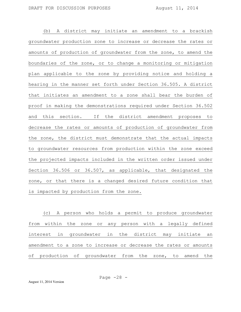(b) A district may initiate an amendment to a brackish groundwater production zone to increase or decrease the rates or amounts of production of groundwater from the zone, to amend the boundaries of the zone, or to change a monitoring or mitigation plan applicable to the zone by providing notice and holding a hearing in the manner set forth under Section 36.505. A district that initiates an amendment to a zone shall bear the burden of proof in making the demonstrations required under Section 36.502 and this section. If the district amendment proposes to decrease the rates or amounts of production of groundwater from the zone, the district must demonstrate that the actual impacts to groundwater resources from production within the zone exceed the projected impacts included in the written order issued under Section 36.506 or 36.507, as applicable, that designated the zone, or that there is a changed desired future condition that is impacted by production from the zone.

(c) A person who holds a permit to produce groundwater from within the zone or any person with a legally defined interest in groundwater in the district may initiate an amendment to a zone to increase or decrease the rates or amounts of production of groundwater from the zone, to amend the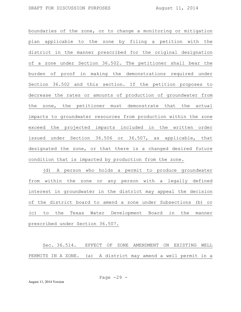boundaries of the zone, or to change a monitoring or mitigation plan applicable to the zone by filing a petition with the district in the manner prescribed for the original designation of a zone under Section 36.502. The petitioner shall bear the burden of proof in making the demonstrations required under Section 36.502 and this section. If the petition proposes to decrease the rates or amounts of production of groundwater from the zone, the petitioner must demonstrate that the actual impacts to groundwater resources from production within the zone exceed the projected impacts included in the written order issued under Section 36.506 or 36.507, as applicable, that designated the zone, or that there is a changed desired future condition that is impacted by production from the zone.

(d) A person who holds a permit to produce groundwater from within the zone or any person with a legally defined interest in groundwater in the district may appeal the decision of the district board to amend a zone under Subsections (b) or (c) to the Texas Water Development Board in the manner prescribed under Section 36.507.

Sec. 36.514. EFFECT OF ZONE AMENDMENT ON EXISTING WELL PERMITS IN A ZONE. (a) A district may amend a well permit in a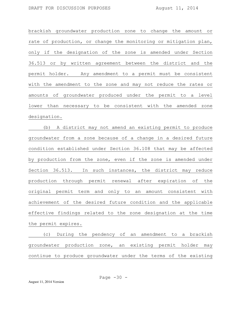brackish groundwater production zone to change the amount or rate of production, or change the monitoring or mitigation plan, only if the designation of the zone is amended under Section 36.513 or by written agreement between the district and the permit holder. Any amendment to a permit must be consistent with the amendment to the zone and may not reduce the rates or amounts of groundwater produced under the permit to a level lower than necessary to be consistent with the amended zone designation.

(b) A district may not amend an existing permit to produce groundwater from a zone because of a change in a desired future condition established under Section 36.108 that may be affected by production from the zone, even if the zone is amended under Section 36.513. In such instances, the district may reduce production through permit renewal after expiration of the original permit term and only to an amount consistent with achievement of the desired future condition and the applicable effective findings related to the zone designation at the time the permit expires.

(c) During the pendency of an amendment to a brackish groundwater production zone, an existing permit holder may continue to produce groundwater under the terms of the existing

Page 
$$
-30 -
$$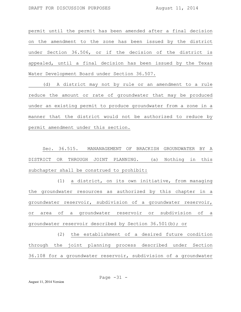permit until the permit has been amended after a final decision on the amendment to the zone has been issued by the district under Section 36.506, or if the decision of the district is appealed, until a final decision has been issued by the Texas Water Development Board under Section 36.507.

(d) A district may not by rule or an amendment to a rule reduce the amount or rate of groundwater that may be produced under an existing permit to produce groundwater from a zone in a manner that the district would not be authorized to reduce by permit amendment under this section.

Sec. 36.515. MANANAGEMENT OF BRACKISH GROUNDWATER BY A DISTRICT OR THROUGH JOINT PLANNING. (a) Nothing in this subchapter shall be construed to prohibit:

(1) a district, on its own initiative, from managing the groundwater resources as authorized by this chapter in a groundwater reservoir, subdivision of a groundwater reservoir, or area of a groundwater reservoir or subdivision of a groundwater reservoir described by Section 36.501(b); or

(2) the establishment of a desired future condition through the joint planning process described under Section 36.108 for a groundwater reservoir, subdivision of a groundwater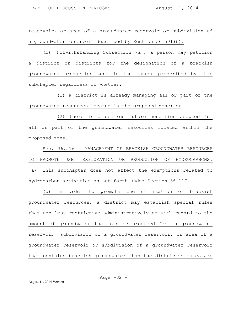reservoir, or area of a groundwater reservoir or subdivision of a groundwater reservoir described by Section 36.501(b).

(b) Notwithstanding Subsection (a), a person may petition a district or districts for the designation of a brackish groundwater production zone in the manner prescribed by this subchapter regardless of whether:

(1) a district is already managing all or part of the groundwater resources located in the proposed zone; or

(2) there is a desired future condition adopted for all or part of the groundwater resources located within the proposed zone.

Sec. 36.516. MANAGEMENT OF BRACKISH GROUNDWATER RESOURCES TO PROMOTE USE; EXPLORATION OR PRODUCTION OF HYDROCARBONS. (a) This subchapter does not affect the exemptions related to hydrocarbon activities as set forth under Section 36.117.

(b) In order to promote the utilization of brackish groundwater resources, a district may establish special rules that are less restrictive administratively or with regard to the amount of groundwater that can be produced from a groundwater reservoir, subdivision of a groundwater reservoir, or area of a groundwater reservoir or subdivision of a groundwater reservoir that contains brackish groundwater than the district's rules are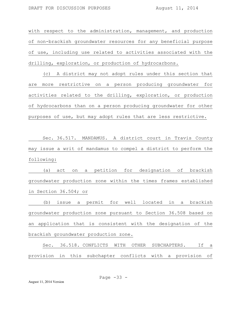with respect to the administration, management, and production of non-brackish groundwater resources for any beneficial purpose of use, including use related to activities associated with the drilling, exploration, or production of hydrocarbons.

(c) A district may not adopt rules under this section that are more restrictive on a person producing groundwater for activities related to the drilling, exploration, or production of hydrocarbons than on a person producing groundwater for other purposes of use, but may adopt rules that are less restrictive.

Sec. 36.517. MANDAMUS. A district court in Travis County may issue a writ of mandamus to compel a district to perform the following:

(a) act on a petition for designation of brackish groundwater production zone within the times frames established in Section 36.504; or

(b) issue a permit for well located in a brackish groundwater production zone pursuant to Section 36.508 based on an application that is consistent with the designation of the brackish groundwater production zone.

Sec. 36.518. CONFLICTS WITH OTHER SUBCHAPTERS. If a provision in this subchapter conflicts with a provision of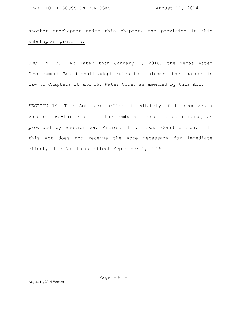# another subchapter under this chapter, the provision in this subchapter prevails.

SECTION 13. No later than January 1, 2016, the Texas Water Development Board shall adopt rules to implement the changes in law to Chapters 16 and 36, Water Code, as amended by this Act.

SECTION 14. This Act takes effect immediately if it receives a vote of two-thirds of all the members elected to each house, as provided by Section 39, Article III, Texas Constitution. If this Act does not receive the vote necessary for immediate effect, this Act takes effect September 1, 2015.

Page  $-34$  -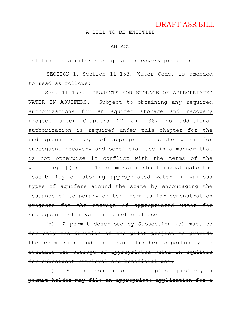## DRAFT ASR BILL

A BILL TO BE ENTITLED

## AN ACT

relating to aquifer storage and recovery projects.

SECTION 1. Section 11.153, Water Code, is amended to read as follows:

Sec. 11.153. PROJECTS FOR STORAGE OF APPROPRIATED WATER IN AQUIFERS. Subject to obtaining any required authorizations for an aquifer storage and recovery project under Chapters 27 and 36, no additional authorization is required under this chapter for the underground storage of appropriated state water for subsequent recovery and beneficial use in a manner that is not otherwise in conflict with the terms of the water right  $\left(\frac{1}{2} + \frac{1}{2}\right)$  The commission shall investigate the feasibility of storing appropriated water in various types of aquifers around the state by encouraging the issuance of temporary or term permits for demonstration projects for the storage of appropriated water for subsequent retrieval and beneficial use.

(b) A permit described by Subsection (a) must be for only the duration of the pilot project to provide the commission and the board further opportunity to evaluate the storage of appropriated water in aquifers for subsequent retrieval and beneficial use.

(c) At the conclusion of a pilot project, a permit holder may file an appropriate application for a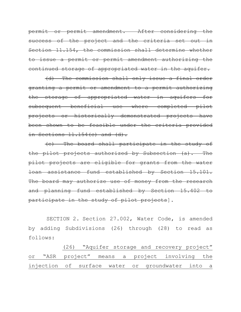permit or permit amendment. After considering the success of the project and the criteria set out in Section 11.154, the commission shall determine whether to issue a permit or permit amendment authorizing the continued storage of appropriated water in the aquifer.

(d) The commission shall only issue a final order granting a permit or amendment to a permit authorizing the storage of appropriated water in aquifers for subsequent beneficial use where completed pilot projects or historically demonstrated projects have been shown to be feasible under the criteria provided in Sections  $11.154(c)$  and  $(d)$ .

(e) The board shall participate in the study of the pilot projects authorized by Subsection (a). The pilot projects are eligible for grants from the water loan assistance fund established by Section 15.101. The board may authorize use of money from the research and planning fund established by Section 15.402 to participate in the study of pilot projects].

SECTION 2. Section 27.002, Water Code, is amended by adding Subdivisions (26) through (28) to read as follows:

(26) "Aquifer storage and recovery project" or "ASR project" means a project involving the injection of surface water or groundwater into a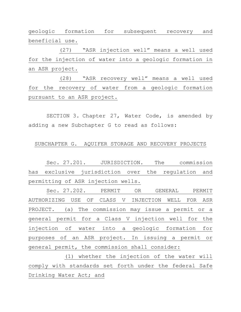geologic formation for subsequent recovery and beneficial use.

(27) "ASR injection well" means a well used for the injection of water into a geologic formation in an ASR project.

(28) "ASR recovery well" means a well used for the recovery of water from a geologic formation pursuant to an ASR project.

SECTION 3. Chapter 27, Water Code, is amended by adding a new Subchapter G to read as follows:

## SUBCHAPTER G. AQUIFER STORAGE AND RECOVERY PROJECTS

Sec. 27.201. JURISDICTION. The commission has exclusive jurisdiction over the regulation and permitting of ASR injection wells.

Sec. 27.202. PERMIT OR GENERAL PERMIT AUTHORIZING USE OF CLASS V INJECTION WELL FOR ASR PROJECT. (a) The commission may issue a permit or a general permit for a Class V injection well for the injection of water into a geologic formation for purposes of an ASR project. In issuing a permit or general permit, the commission shall consider:

(1) whether the injection of the water will comply with standards set forth under the federal Safe Drinking Water Act; and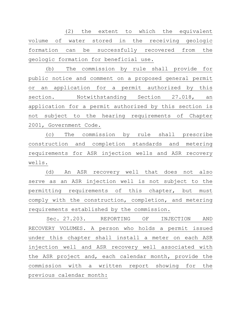(2) the extent to which the equivalent volume of water stored in the receiving geologic formation can be successfully recovered from the geologic formation for beneficial use.

(b) The commission by rule shall provide for public notice and comment on a proposed general permit or an application for a permit authorized by this section. Notwithstanding Section 27.018, an application for a permit authorized by this section is not subject to the hearing requirements of Chapter 2001, Government Code.

(c) The commission by rule shall prescribe construction and completion standards and metering requirements for ASR injection wells and ASR recovery wells.

(d) An ASR recovery well that does not also serve as an ASR injection well is not subject to the permitting requirements of this chapter, but must comply with the construction, completion, and metering requirements established by the commission.

Sec. 27.203. REPORTING OF INJECTION AND RECOVERY VOLUMES. A person who holds a permit issued under this chapter shall install a meter on each ASR injection well and ASR recovery well associated with the ASR project and, each calendar month, provide the commission with a written report showing for the previous calendar month: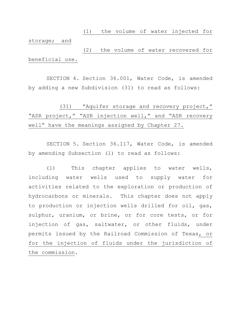(1) the volume of water injected for storage; and

(2) the volume of water recovered for beneficial use.

SECTION 4. Section 36.001, Water Code, is amended by adding a new Subdivision (31) to read as follows:

(31) "Aquifer storage and recovery project," "ASR project," "ASR injection well," and "ASR recovery well" have the meanings assigned by Chapter 27.

SECTION 5. Section 36.117, Water Code, is amended by amending Subsection (l) to read as follows:

(l) This chapter applies to water wells, including water wells used to supply water for activities related to the exploration or production of hydrocarbons or minerals. This chapter does not apply to production or injection wells drilled for oil, gas, sulphur, uranium, or brine, or for core tests, or for injection of gas, saltwater, or other fluids, under permits issued by the Railroad Commission of Texas, or for the injection of fluids under the jurisdiction of the commission.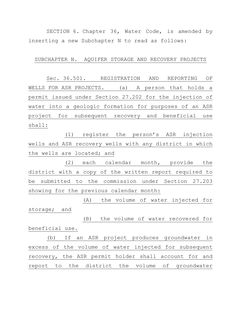SECTION 6. Chapter 36, Water Code, is amended by inserting a new Subchapter N to read as follows:

## SUBCHAPTER N. AQUIFER STORAGE AND RECOVERY PROJECTS

Sec. 36.501. REGISTRATION AND REPORTING OF WELLS FOR ASR PROJECTS. (a) A person that holds a permit issued under Section 27.202 for the injection of water into a geologic formation for purposes of an ASR project for subsequent recovery and beneficial use shall:

(1) register the person's ASR injection wells and ASR recovery wells with any district in which the wells are located; and

(2) each calendar month, provide the district with a copy of the written report required to be submitted to the commission under Section 27.203 showing for the previous calendar month:

(A) the volume of water injected for storage; and

(B) the volume of water recovered for beneficial use.

(b) If an ASR project produces groundwater in excess of the volume of water injected for subsequent recovery, the ASR permit holder shall account for and report to the district the volume of groundwater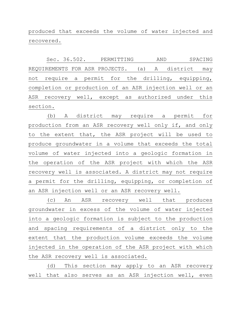produced that exceeds the volume of water injected and recovered.

Sec. 36.502. PERMITTING AND SPACING REQUIREMENTS FOR ASR PROJECTS. (a) A district may not require a permit for the drilling, equipping, completion or production of an ASR injection well or an ASR recovery well, except as authorized under this section.

(b) A district may require a permit for production from an ASR recovery well only if, and only to the extent that, the ASR project will be used to produce groundwater in a volume that exceeds the total volume of water injected into a geologic formation in the operation of the ASR project with which the ASR recovery well is associated. A district may not require a permit for the drilling, equipping, or completion of an ASR injection well or an ASR recovery well.

(c) An ASR recovery well that produces groundwater in excess of the volume of water injected into a geologic formation is subject to the production and spacing requirements of a district only to the extent that the production volume exceeds the volume injected in the operation of the ASR project with which the ASR recovery well is associated.

(d) This section may apply to an ASR recovery well that also serves as an ASR injection well, even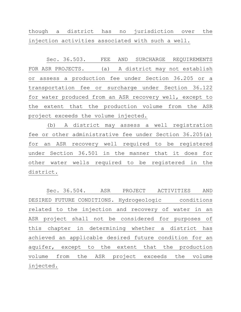though a district has no jurisdiction over the injection activities associated with such a well.

Sec. 36.503. FEE AND SURCHARGE REQUIREMENTS FOR ASR PROJECTS. (a) A district may not establish or assess a production fee under Section 36.205 or a transportation fee or surcharge under Section 36.122 for water produced from an ASR recovery well, except to the extent that the production volume from the ASR project exceeds the volume injected.

(b) A district may assess a well registration fee or other administrative fee under Section 36.205(a) for an ASR recovery well required to be registered under Section 36.501 in the manner that it does for other water wells required to be registered in the district.

Sec. 36.504. ASR PROJECT ACTIVITIES AND DESIRED FUTURE CONDITIONS. Hydrogeologic conditions related to the injection and recovery of water in an ASR project shall not be considered for purposes of this chapter in determining whether a district has achieved an applicable desired future condition for an aquifer, except to the extent that the production volume from the ASR project exceeds the volume injected.